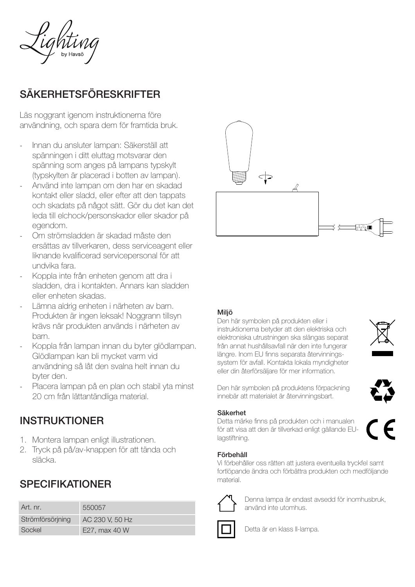

# SÄKERHETSFÖRESKRIFTER

Läs noggrant igenom instruktionerna före användning, och spara dem för framtida bruk.

- Innan du ansluter lampan: Säkerställ att spänningen i ditt eluttag motsvarar den spänning som anges på lampans typskylt (typskylten är placerad i botten av lampan).
- Använd inte lampan om den har en skadad kontakt eller sladd, eller efter att den tappats och skadats på något sätt. Gör du det kan det leda till elchock/personskador eller skador på egendom.
- Om strömsladden är skadad måste den ersättas av tillverkaren, dess serviceagent eller liknande kvalificerad servicepersonal för att undvika fara.
- Koppla inte från enheten genom att dra i sladden, dra i kontakten. Annars kan sladden eller enheten skadas.
- Lämna aldrig enheten i närheten av barn. Produkten är ingen leksak! Noggrann tillsyn krävs när produkten används i närheten av barn.
- Koppla från lampan innan du byter glödlampan. Glödlampan kan bli mycket varm vid användning så låt den svalna helt innan du byter den.
- Placera lampan på en plan och stabil yta minst 20 cm från lättantändliga material.

### INSTRUKTIONER

- 1. Montera lampan enligt illustrationen.
- 2. Tryck på på/av-knappen för att tända och släcka.

## SPECIFIKATIONER

| Art. nr.         | 550057          |
|------------------|-----------------|
| Strömförsörjning | AC 230 V, 50 Hz |
| Sockel           | E27, max 40 W   |



### Miljö

Den här symbolen på produkten eller i instruktionerna betyder att den elektriska och elektroniska utrustningen ska slängas separat från annat hushållsavfall när den inte fungerar längre. Inom EU finns separata återvinningssystem för avfall. Kontakta lokala myndigheter eller din återförsäljare för mer information.



Den här symbolen på produktens förpackning innebär att materialet är återvinningsbart.

### Säkerhet

Detta märke finns på produkten och i manualen för att visa att den är tillverkad enligt gällande EUlagstiftning.

### Förbehåll

Vi förbehåller oss rätten att justera eventuella tryckfel samt fortlöpande ändra och förbättra produkten och medföljande material.



Denna lampa är endast avsedd för inomhusbruk, använd inte utomhus.



Detta är en klass II-lampa.